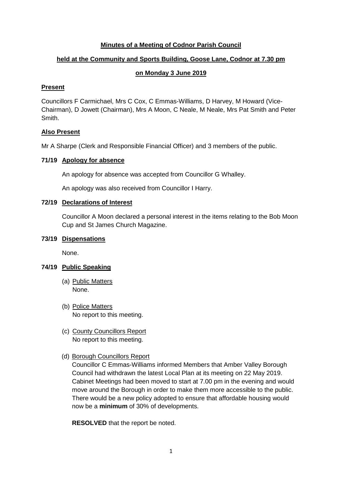## **Minutes of a Meeting of Codnor Parish Council**

# **held at the Community and Sports Building, Goose Lane, Codnor at 7.30 pm**

## **on Monday 3 June 2019**

## **Present**

Councillors F Carmichael, Mrs C Cox, C Emmas-Williams, D Harvey, M Howard (Vice-Chairman), D Jowett (Chairman), Mrs A Moon, C Neale, M Neale, Mrs Pat Smith and Peter Smith.

## **Also Present**

Mr A Sharpe (Clerk and Responsible Financial Officer) and 3 members of the public.

## **71/19 Apology for absence**

An apology for absence was accepted from Councillor G Whalley.

An apology was also received from Councillor I Harry.

## **72/19 Declarations of Interest**

Councillor A Moon declared a personal interest in the items relating to the Bob Moon Cup and St James Church Magazine.

## **73/19 Dispensations**

None.

# **74/19 Public Speaking**

- (a) Public Matters None.
- (b) Police Matters No report to this meeting.
- (c) County Councillors Report No report to this meeting.
- (d) Borough Councillors Report

Councillor C Emmas-Williams informed Members that Amber Valley Borough Council had withdrawn the latest Local Plan at its meeting on 22 May 2019. Cabinet Meetings had been moved to start at 7.00 pm in the evening and would move around the Borough in order to make them more accessible to the public. There would be a new policy adopted to ensure that affordable housing would now be a **minimum** of 30% of developments.

**RESOLVED** that the report be noted.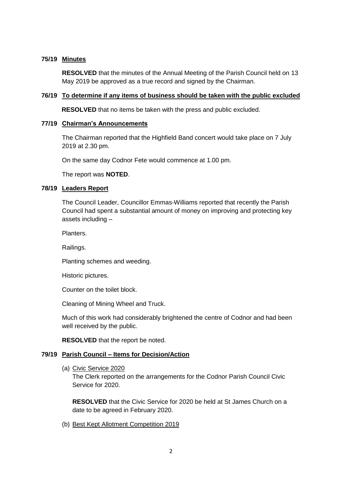## **75/19 Minutes**

**RESOLVED** that the minutes of the Annual Meeting of the Parish Council held on 13 May 2019 be approved as a true record and signed by the Chairman.

# **76/19 To determine if any items of business should be taken with the public excluded**

**RESOLVED** that no items be taken with the press and public excluded.

#### **77/19 Chairman's Announcements**

The Chairman reported that the Highfield Band concert would take place on 7 July 2019 at 2.30 pm.

On the same day Codnor Fete would commence at 1.00 pm.

The report was **NOTED**.

#### **78/19 Leaders Report**

The Council Leader, Councillor Emmas-Williams reported that recently the Parish Council had spent a substantial amount of money on improving and protecting key assets including –

Planters.

Railings.

Planting schemes and weeding.

Historic pictures.

Counter on the toilet block.

Cleaning of Mining Wheel and Truck.

Much of this work had considerably brightened the centre of Codnor and had been well received by the public.

**RESOLVED** that the report be noted.

## **79/19 Parish Council – Items for Decision/Action**

(a) Civic Service 2020

The Clerk reported on the arrangements for the Codnor Parish Council Civic Service for 2020.

**RESOLVED** that the Civic Service for 2020 be held at St James Church on a date to be agreed in February 2020.

(b) Best Kept Allotment Competition 2019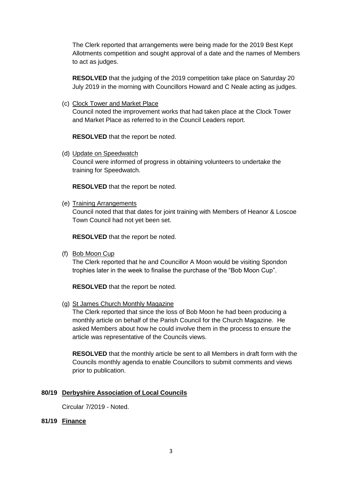The Clerk reported that arrangements were being made for the 2019 Best Kept Allotments competition and sought approval of a date and the names of Members to act as judges.

**RESOLVED** that the judging of the 2019 competition take place on Saturday 20 July 2019 in the morning with Councillors Howard and C Neale acting as judges.

(c) Clock Tower and Market Place

Council noted the improvement works that had taken place at the Clock Tower and Market Place as referred to in the Council Leaders report.

**RESOLVED** that the report be noted.

(d) Update on Speedwatch

Council were informed of progress in obtaining volunteers to undertake the training for Speedwatch.

**RESOLVED** that the report be noted.

(e) Training Arrangements

Council noted that that dates for joint training with Members of Heanor & Loscoe Town Council had not yet been set.

**RESOLVED** that the report be noted.

(f) Bob Moon Cup

The Clerk reported that he and Councillor A Moon would be visiting Spondon trophies later in the week to finalise the purchase of the "Bob Moon Cup".

**RESOLVED** that the report be noted.

(g) St James Church Monthly Magazine

The Clerk reported that since the loss of Bob Moon he had been producing a monthly article on behalf of the Parish Council for the Church Magazine. He asked Members about how he could involve them in the process to ensure the article was representative of the Councils views.

**RESOLVED** that the monthly article be sent to all Members in draft form with the Councils monthly agenda to enable Councillors to submit comments and views prior to publication.

## **80/19 Derbyshire Association of Local Councils**

Circular 7/2019 - Noted.

**81/19 Finance**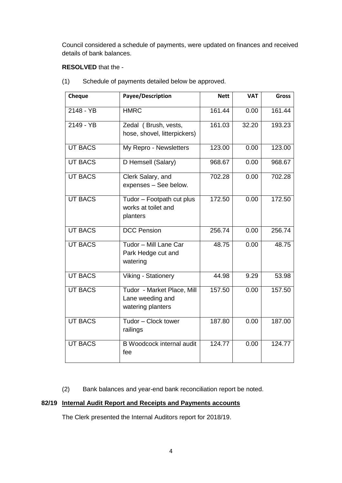Council considered a schedule of payments, were updated on finances and received details of bank balances.

# **RESOLVED** that the -

| Cheque         | Payee/Description                                                   | <b>Nett</b> | <b>VAT</b> | <b>Gross</b> |
|----------------|---------------------------------------------------------------------|-------------|------------|--------------|
| 2148 - YB      | <b>HMRC</b>                                                         | 161.44      | 0.00       | 161.44       |
| 2149 - YB      | Zedal (Brush, vests,<br>hose, shovel, litterpickers)                | 161.03      | 32.20      | 193.23       |
| <b>UT BACS</b> | My Repro - Newsletters                                              | 123.00      | 0.00       | 123.00       |
| <b>UT BACS</b> | D Hemsell (Salary)                                                  | 968.67      | 0.00       | 968.67       |
| <b>UT BACS</b> | Clerk Salary, and<br>expenses - See below.                          | 702.28      | 0.00       | 702.28       |
| <b>UT BACS</b> | Tudor - Footpath cut plus<br>works at toilet and<br>planters        | 172.50      | 0.00       | 172.50       |
| <b>UT BACS</b> | <b>DCC</b> Pension                                                  | 256.74      | 0.00       | 256.74       |
| <b>UT BACS</b> | Tudor - Mill Lane Car<br>Park Hedge cut and<br>watering             | 48.75       | 0.00       | 48.75        |
| <b>UT BACS</b> | Viking - Stationery                                                 |             | 9.29       | 53.98        |
| <b>UT BACS</b> | Tudor - Market Place, Mill<br>Lane weeding and<br>watering planters | 157.50      | 0.00       | 157.50       |
| <b>UT BACS</b> | Tudor - Clock tower<br>railings                                     | 187.80      | 0.00       | 187.00       |
| <b>UT BACS</b> | <b>B</b> Woodcock internal audit<br>fee                             | 124.77      | 0.00       | 124.77       |

(1) Schedule of payments detailed below be approved.

(2) Bank balances and year-end bank reconciliation report be noted.

# **82/19 Internal Audit Report and Receipts and Payments accounts**

The Clerk presented the Internal Auditors report for 2018/19.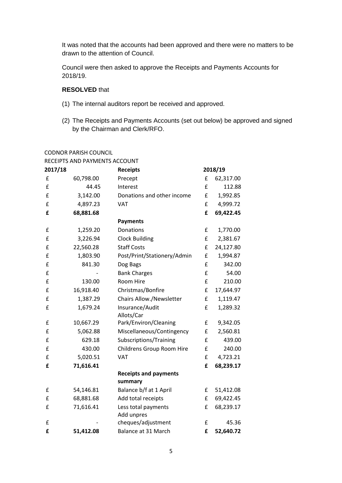It was noted that the accounts had been approved and there were no matters to be drawn to the attention of Council.

Council were then asked to approve the Receipts and Payments Accounts for 2018/19.

# **RESOLVED** that

- (1) The internal auditors report be received and approved.
- (2) The Receipts and Payments Accounts (set out below) be approved and signed by the Chairman and Clerk/RFO.

#### CODNOR PARISH COUNCIL

| RECEIPTS AND PAYMENTS ACCOUNT |  |  |  |
|-------------------------------|--|--|--|
|                               |  |  |  |

| 2017/18 |           | <b>Receipts</b>                 |   | 2018/19   |
|---------|-----------|---------------------------------|---|-----------|
| £       | 60,798.00 | Precept                         | £ | 62,317.00 |
| £       | 44.45     | Interest                        | £ | 112.88    |
| £       | 3,142.00  | Donations and other income      | £ | 1,992.85  |
| £       | 4,897.23  | VAT                             | £ | 4,999.72  |
| £       | 68,881.68 |                                 | £ | 69,422.45 |
|         |           | <b>Payments</b>                 |   |           |
| £       | 1,259.20  | Donations                       | £ | 1,770.00  |
| £       | 3,226.94  | <b>Clock Building</b>           | £ | 2,381.67  |
| £       | 22,560.28 | <b>Staff Costs</b>              | £ | 24,127.80 |
| £       | 1,803.90  | Post/Print/Stationery/Admin     | £ | 1,994.87  |
| £       | 841.30    | Dog Bags                        | £ | 342.00    |
| £       |           | <b>Bank Charges</b>             | £ | 54.00     |
| £       | 130.00    | Room Hire                       | £ | 210.00    |
| £       | 16,918.40 | Christmas/Bonfire               | £ | 17,644.97 |
| £       | 1,387.29  | <b>Chairs Allow./Newsletter</b> | £ | 1,119.47  |
| £       | 1,679.24  | Insurance/Audit                 | £ | 1,289.32  |
|         |           | Allots/Car                      |   |           |
| £       | 10,667.29 | Park/Environ/Cleaning           | £ | 9,342.05  |
| £       | 5,062.88  | Miscellaneous/Contingency       | £ | 2,560.81  |
| £       | 629.18    | Subscriptions/Training          | £ | 439.00    |
| £       | 430.00    | Childrens Group Room Hire       | £ | 240.00    |
| £       | 5,020.51  | VAT                             | £ | 4,723.21  |
| £       | 71,616.41 |                                 | £ | 68,239.17 |
|         |           | <b>Receipts and payments</b>    |   |           |
|         |           | summary                         |   |           |
| £       | 54,146.81 | Balance b/f at 1 April          | £ | 51,412.08 |
| £       | 68,881.68 | Add total receipts              | £ | 69,422.45 |
| £       | 71,616.41 | Less total payments             | £ | 68,239.17 |
|         |           | Add unpres                      |   |           |
| £       |           | cheques/adjustment              | £ | 45.36     |
| £       | 51,412.08 | Balance at 31 March             | £ | 52,640.72 |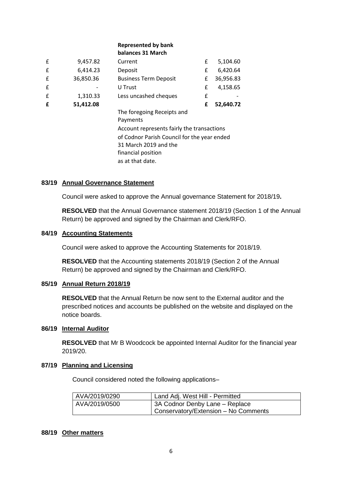## **Represented by bank balances 31 March**

| £ | 9,457.82  | Current                                     | £ | 5,104.60  |
|---|-----------|---------------------------------------------|---|-----------|
| £ | 6,414.23  | Deposit                                     | £ | 6,420.64  |
| £ | 36,850.36 | <b>Business Term Deposit</b>                | £ | 36,956.83 |
| £ |           | U Trust                                     | £ | 4,158.65  |
| £ | 1,310.33  | Less uncashed cheques                       | £ |           |
| £ | 51,412.08 |                                             | £ | 52,640.72 |
|   |           | The foregoing Receipts and                  |   |           |
|   |           | Payments                                    |   |           |
|   |           | Account represents fairly the transactions  |   |           |
|   |           | of Codnor Parish Council for the year ended |   |           |
|   |           | 31 March 2019 and the                       |   |           |
|   |           | financial position                          |   |           |
|   |           | as at that date.                            |   |           |

## **83/19 Annual Governance Statement**

Council were asked to approve the Annual governance Statement for 2018/19**.**

**RESOLVED** that the Annual Governance statement 2018/19 (Section 1 of the Annual Return) be approved and signed by the Chairman and Clerk/RFO.

#### **84/19 Accounting Statements**

Council were asked to approve the Accounting Statements for 2018/19.

**RESOLVED** that the Accounting statements 2018/19 (Section 2 of the Annual Return) be approved and signed by the Chairman and Clerk/RFO.

#### **85/19 Annual Return 2018/19**

**RESOLVED** that the Annual Return be now sent to the External auditor and the prescribed notices and accounts be published on the website and displayed on the notice boards.

#### **86/19 Internal Auditor**

**RESOLVED** that Mr B Woodcock be appointed Internal Auditor for the financial year 2019/20.

#### **87/19 Planning and Licensing**

Council considered noted the following applications–

| AVA/2019/0290 | Land Adj. West Hill - Permitted      |
|---------------|--------------------------------------|
| AVA/2019/0500 | 3A Codnor Denby Lane - Replace       |
|               | Conservatory/Extension - No Comments |

#### **88/19 Other matters**